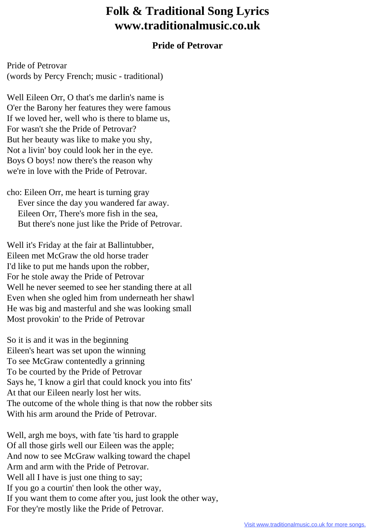## **Folk & Traditional Song Lyrics www.traditionalmusic.co.uk**

## **Pride of Petrovar**

Pride of Petrovar (words by Percy French; music - traditional)

Well Eileen Orr, O that's me darlin's name is O'er the Barony her features they were famous If we loved her, well who is there to blame us, For wasn't she the Pride of Petrovar? But her beauty was like to make you shy, Not a livin' boy could look her in the eye. Boys O boys! now there's the reason why we're in love with the Pride of Petrovar.

cho: Eileen Orr, me heart is turning gray Ever since the day you wandered far away. Eileen Orr, There's more fish in the sea, But there's none just like the Pride of Petrovar.

Well it's Friday at the fair at Ballintubber, Eileen met McGraw the old horse trader I'd like to put me hands upon the robber, For he stole away the Pride of Petrovar Well he never seemed to see her standing there at all Even when she ogled him from underneath her shawl He was big and masterful and she was looking small Most provokin' to the Pride of Petrovar

So it is and it was in the beginning Eileen's heart was set upon the winning To see McGraw contentedly a grinning To be courted by the Pride of Petrovar Says he, 'I know a girl that could knock you into fits' At that our Eileen nearly lost her wits. The outcome of the whole thing is that now the robber sits With his arm around the Pride of Petrovar.

Well, argh me boys, with fate 'tis hard to grapple Of all those girls well our Eileen was the apple; And now to see McGraw walking toward the chapel Arm and arm with the Pride of Petrovar. Well all I have is just one thing to say; If you go a courtin' then look the other way, If you want them to come after you, just look the other way, For they're mostly like the Pride of Petrovar.